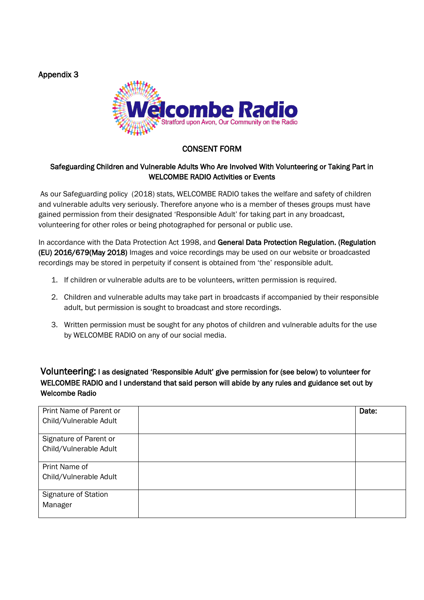Appendix 3



# CONSENT FORM

#### Safeguarding Children and Vulnerable Adults Who Are Involved With Volunteering or Taking Part in WELCOMBE RADIO Activities or Events

As our Safeguarding policy (2018) stats, WELCOMBE RADIO takes the welfare and safety of children and vulnerable adults very seriously. Therefore anyone who is a member of theses groups must have gained permission from their designated 'Responsible Adult' for taking part in any broadcast, volunteering for other roles or being photographed for personal or public use.

In accordance with the Data Protection Act 1998, and General Data Protection Regulation. (Regulation (EU) 2016/679(May 2018) Images and voice recordings may be used on our website or broadcasted recordings may be stored in perpetuity if consent is obtained from 'the' responsible adult.

- 1. If children or vulnerable adults are to be volunteers, written permission is required.
- 2. Children and vulnerable adults may take part in broadcasts if accompanied by their responsible adult, but permission is sought to broadcast and store recordings.
- 3. Written permission must be sought for any photos of children and vulnerable adults for the use by WELCOMBE RADIO on any of our social media.

## Volunteering: I as designated 'Responsible Adult' give permission for (see below) to volunteer for WELCOMBE RADIO and I understand that said person will abide by any rules and guidance set out by Welcombe Radio

| Print Name of Parent or | Date: |
|-------------------------|-------|
| Child/Vulnerable Adult  |       |
| Signature of Parent or  |       |
| Child/Vulnerable Adult  |       |
| Print Name of           |       |
| Child/Vulnerable Adult  |       |
|                         |       |
| Signature of Station    |       |
| Manager                 |       |
|                         |       |